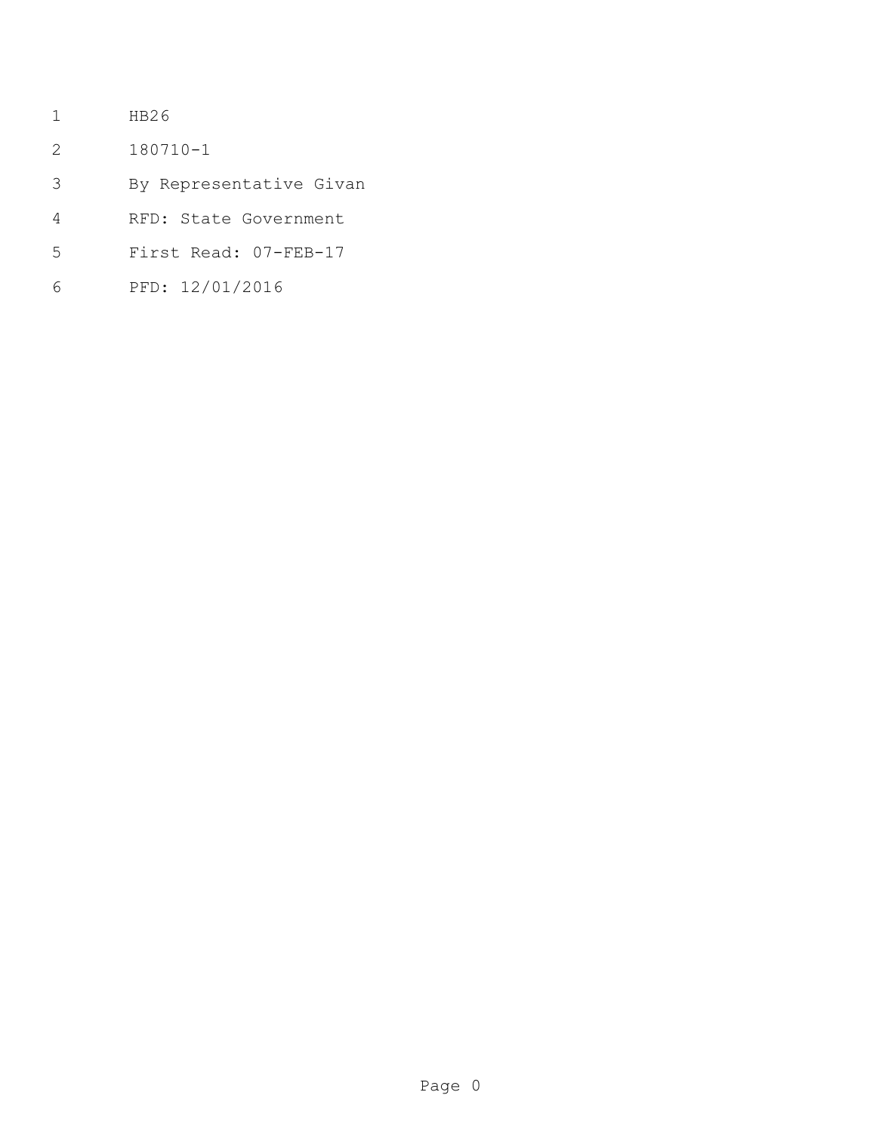- HB26
- 180710-1
- By Representative Givan
- RFD: State Government
- First Read: 07-FEB-17
- PFD: 12/01/2016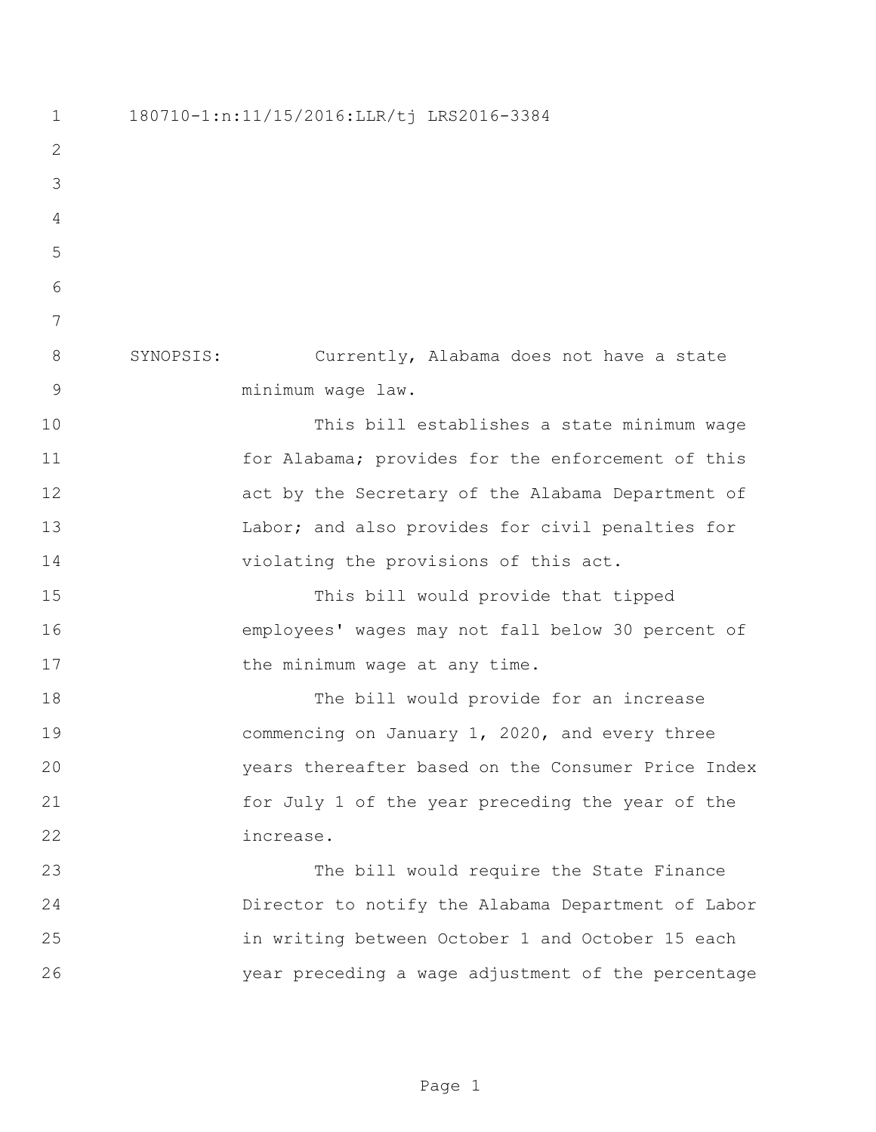180710-1:n:11/15/2016:LLR/tj LRS2016-3384 SYNOPSIS: Currently, Alabama does not have a state minimum wage law. This bill establishes a state minimum wage for Alabama; provides for the enforcement of this act by the Secretary of the Alabama Department of 13 Labor; and also provides for civil penalties for violating the provisions of this act. This bill would provide that tipped employees' wages may not fall below 30 percent of 17 the minimum wage at any time. The bill would provide for an increase commencing on January 1, 2020, and every three years thereafter based on the Consumer Price Index for July 1 of the year preceding the year of the increase. The bill would require the State Finance Director to notify the Alabama Department of Labor in writing between October 1 and October 15 each year preceding a wage adjustment of the percentage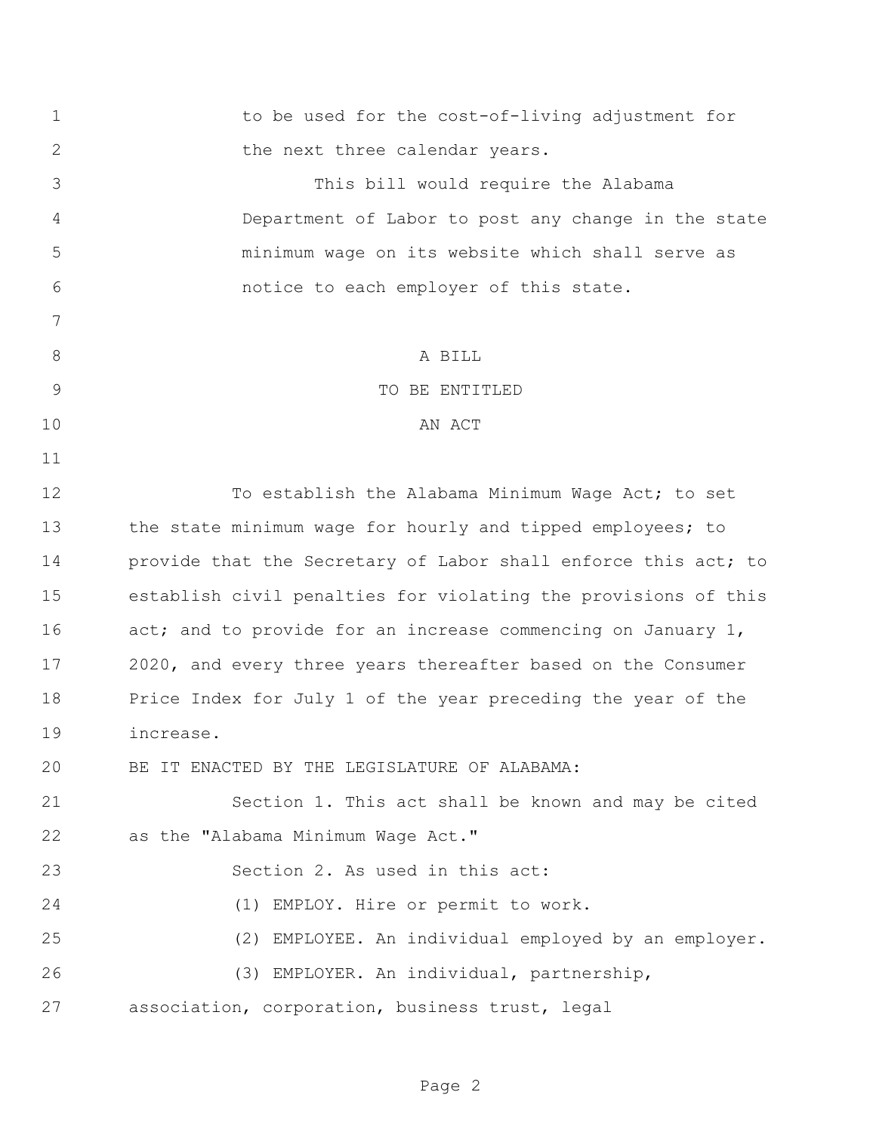| 1     | to be used for the cost-of-living adjustment for               |
|-------|----------------------------------------------------------------|
| 2     | the next three calendar years.                                 |
| 3     | This bill would require the Alabama                            |
| 4     | Department of Labor to post any change in the state            |
| 5     | minimum waqe on its website which shall serve as               |
| 6     | notice to each employer of this state.                         |
| 7     |                                                                |
| $8\,$ | A BILL                                                         |
| 9     | TO BE ENTITLED                                                 |
| 10    | AN ACT                                                         |
| 11    |                                                                |
| 12    | To establish the Alabama Minimum Wage Act; to set              |
| 13    | the state minimum wage for hourly and tipped employees; to     |
| 14    | provide that the Secretary of Labor shall enforce this act; to |
| 15    | establish civil penalties for violating the provisions of this |
| 16    | act; and to provide for an increase commencing on January 1,   |
| 17    | 2020, and every three years thereafter based on the Consumer   |
| 18    | Price Index for July 1 of the year preceding the year of the   |
| 19    | increase.                                                      |
| 20    | BE IT ENACTED BY THE LEGISLATURE OF ALABAMA:                   |
| 21    | Section 1. This act shall be known and may be cited            |
| 22    | as the "Alabama Minimum Wage Act."                             |
| 23    | Section 2. As used in this act:                                |
| 24    | (1) EMPLOY. Hire or permit to work.                            |
| 25    | (2) EMPLOYEE. An individual employed by an employer.           |
| 26    | (3) EMPLOYER. An individual, partnership,                      |
| 27    | association, corporation, business trust, legal                |
|       |                                                                |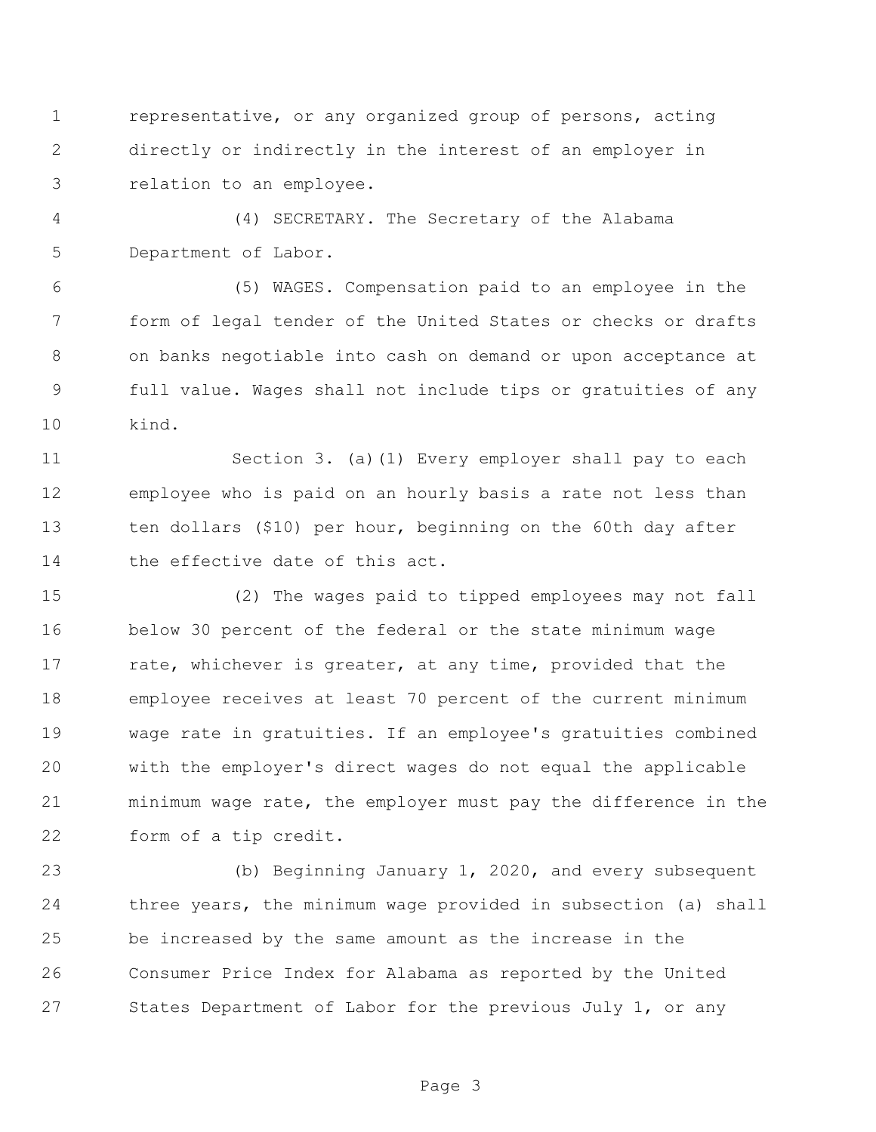representative, or any organized group of persons, acting directly or indirectly in the interest of an employer in relation to an employee.

 (4) SECRETARY. The Secretary of the Alabama Department of Labor.

 (5) WAGES. Compensation paid to an employee in the form of legal tender of the United States or checks or drafts on banks negotiable into cash on demand or upon acceptance at full value. Wages shall not include tips or gratuities of any kind.

 Section 3. (a)(1) Every employer shall pay to each employee who is paid on an hourly basis a rate not less than ten dollars (\$10) per hour, beginning on the 60th day after 14 the effective date of this act.

 (2) The wages paid to tipped employees may not fall below 30 percent of the federal or the state minimum wage 17 rate, whichever is greater, at any time, provided that the employee receives at least 70 percent of the current minimum wage rate in gratuities. If an employee's gratuities combined with the employer's direct wages do not equal the applicable minimum wage rate, the employer must pay the difference in the form of a tip credit.

 (b) Beginning January 1, 2020, and every subsequent three years, the minimum wage provided in subsection (a) shall be increased by the same amount as the increase in the Consumer Price Index for Alabama as reported by the United States Department of Labor for the previous July 1, or any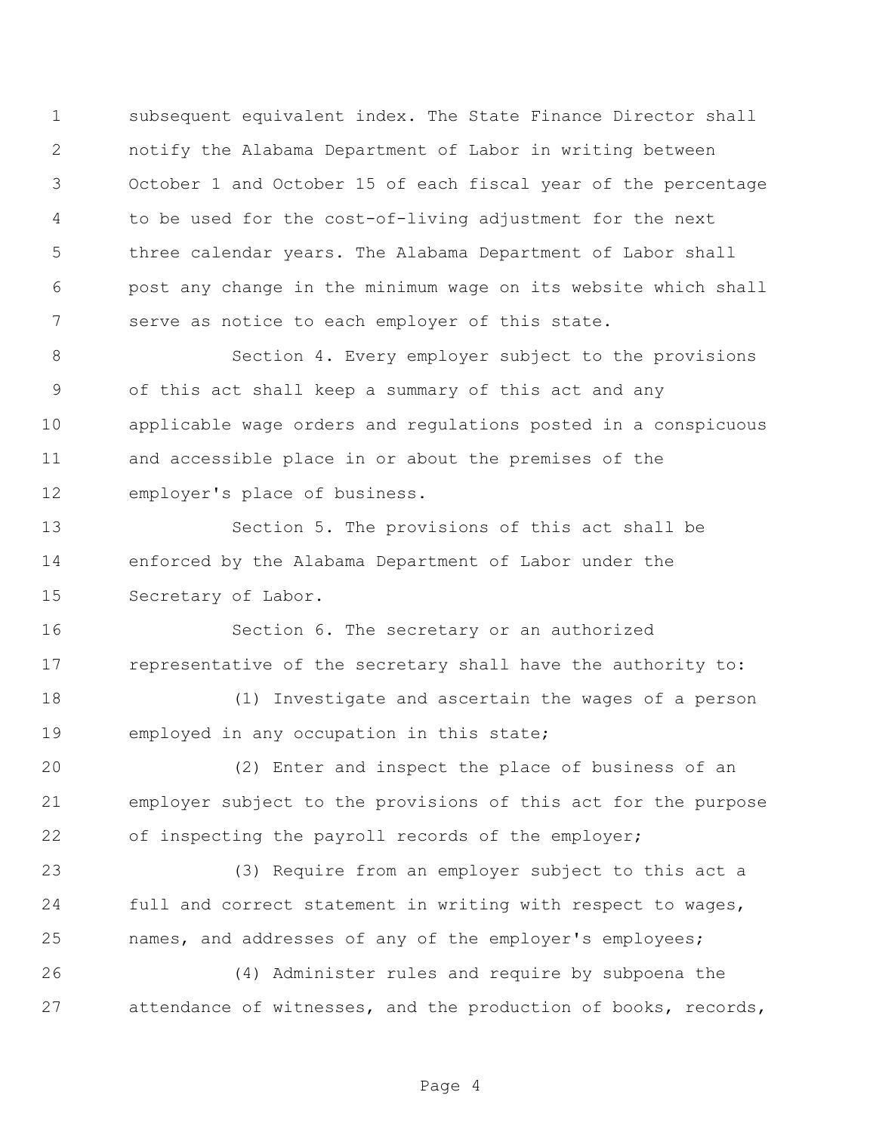subsequent equivalent index. The State Finance Director shall notify the Alabama Department of Labor in writing between October 1 and October 15 of each fiscal year of the percentage to be used for the cost-of-living adjustment for the next three calendar years. The Alabama Department of Labor shall post any change in the minimum wage on its website which shall serve as notice to each employer of this state.

 Section 4. Every employer subject to the provisions of this act shall keep a summary of this act and any applicable wage orders and regulations posted in a conspicuous and accessible place in or about the premises of the employer's place of business.

 Section 5. The provisions of this act shall be enforced by the Alabama Department of Labor under the Secretary of Labor.

 Section 6. The secretary or an authorized representative of the secretary shall have the authority to:

 (1) Investigate and ascertain the wages of a person employed in any occupation in this state;

 (2) Enter and inspect the place of business of an employer subject to the provisions of this act for the purpose 22 of inspecting the payroll records of the employer;

 (3) Require from an employer subject to this act a full and correct statement in writing with respect to wages, names, and addresses of any of the employer's employees;

 (4) Administer rules and require by subpoena the attendance of witnesses, and the production of books, records,

Page 4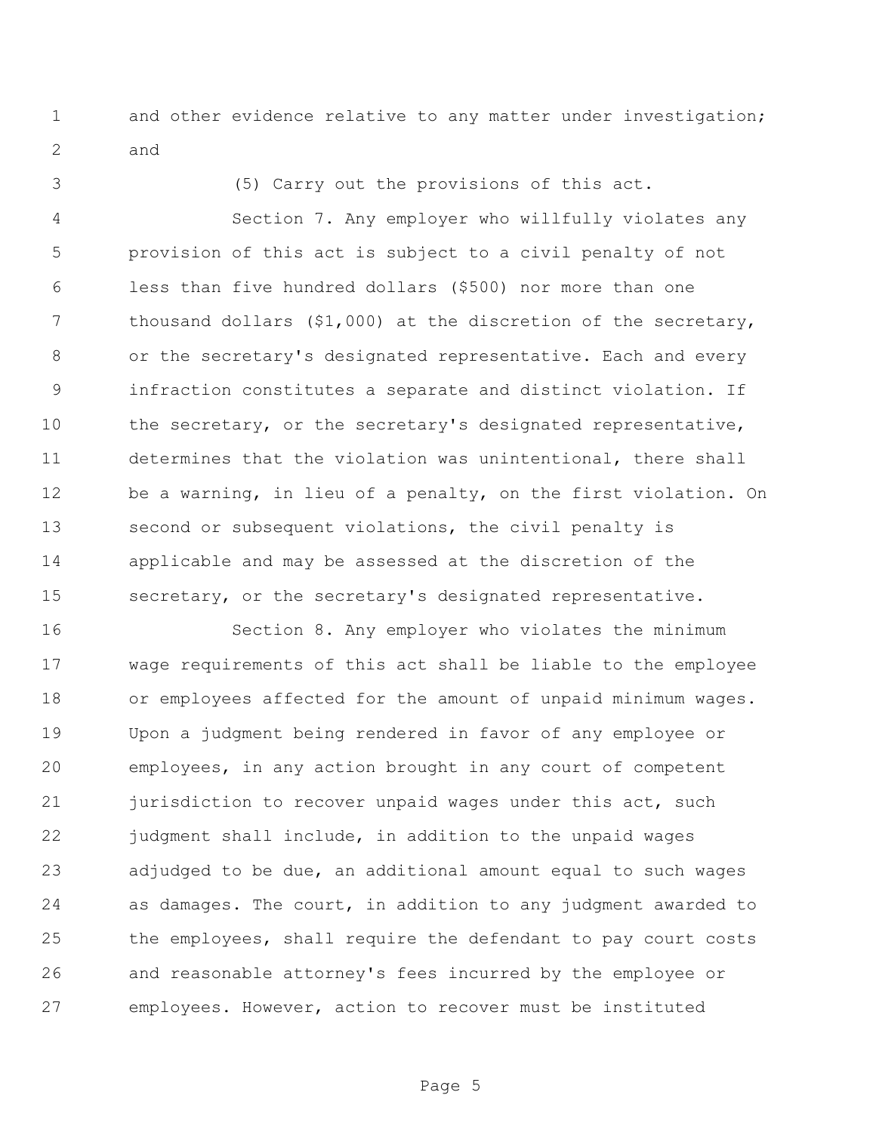1 and other evidence relative to any matter under investigation; and

(5) Carry out the provisions of this act.

 Section 7. Any employer who willfully violates any provision of this act is subject to a civil penalty of not less than five hundred dollars (\$500) nor more than one 7 thousand dollars (\$1,000) at the discretion of the secretary, or the secretary's designated representative. Each and every infraction constitutes a separate and distinct violation. If the secretary, or the secretary's designated representative, determines that the violation was unintentional, there shall be a warning, in lieu of a penalty, on the first violation. On second or subsequent violations, the civil penalty is applicable and may be assessed at the discretion of the secretary, or the secretary's designated representative.

 Section 8. Any employer who violates the minimum wage requirements of this act shall be liable to the employee or employees affected for the amount of unpaid minimum wages. Upon a judgment being rendered in favor of any employee or employees, in any action brought in any court of competent 21 jurisdiction to recover unpaid wages under this act, such judgment shall include, in addition to the unpaid wages adjudged to be due, an additional amount equal to such wages as damages. The court, in addition to any judgment awarded to the employees, shall require the defendant to pay court costs and reasonable attorney's fees incurred by the employee or employees. However, action to recover must be instituted